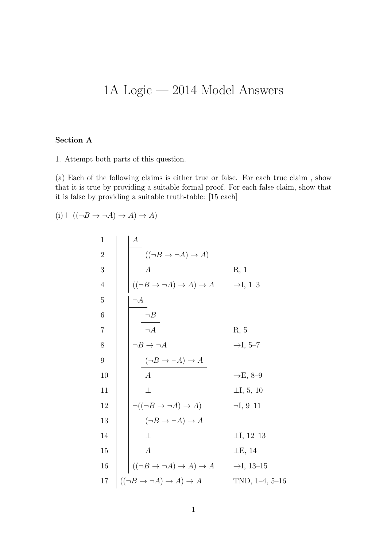## 1A Logic — 2014 Model Answers

## Section A

1. Attempt both parts of this question.

(a) Each of the following claims is either true or false. For each true claim , show that it is true by providing a suitable formal proof. For each false claim, show that it is false by providing a suitable truth-table: [15 each]

 $(i) \vdash ((\neg B \rightarrow \neg A) \rightarrow A) \rightarrow A)$ 

| $\mathbf 1$      | $\boldsymbol{A}$                                                                                                                                                                                                                                                                                                         |                        |
|------------------|--------------------------------------------------------------------------------------------------------------------------------------------------------------------------------------------------------------------------------------------------------------------------------------------------------------------------|------------------------|
| $\overline{2}$   |                                                                                                                                                                                                                                                                                                                          |                        |
| $\mathfrak{Z}$   | $\frac{((\neg B \to \neg A) \to A)}{A}$                                                                                                                                                                                                                                                                                  | R, 1                   |
| $\overline{4}$   | $((\neg B \rightarrow \neg A) \rightarrow A) \rightarrow A$ $\rightarrow$ I, 1-3                                                                                                                                                                                                                                         |                        |
| $\bf 5$          | $\neg A$                                                                                                                                                                                                                                                                                                                 |                        |
| $\,6$            |                                                                                                                                                                                                                                                                                                                          |                        |
| $\overline{7}$   |                                                                                                                                                                                                                                                                                                                          | R, 5                   |
| $8\,$            |                                                                                                                                                                                                                                                                                                                          | $\rightarrow$ I, 5–7   |
| $\boldsymbol{9}$ |                                                                                                                                                                                                                                                                                                                          |                        |
| 10               |                                                                                                                                                                                                                                                                                                                          | $\rightarrow E$ , 8-9  |
| 11               | $\begin{array}{c}\n\begin{array}{c}\n\overline{\phantom{aa}}\\ \n\hline\n\hline\n\overline{\phantom{aa}}\\ \n\end{array}\n\end{array}$ $\begin{array}{c}\n\begin{array}{c}\n\overline{\phantom{aa}}\\ \n\hline\n\phantom{aa}B\rightarrow\overline{\phantom{aa}}A\\ \n\hline\n\phantom{aa}A\\ \n\end{array}\n\end{array}$ | $\perp$ I, 5, 10       |
| 12               | $\neg((\neg B \to \neg A) \to A)$                                                                                                                                                                                                                                                                                        | $\neg I, 9-11$         |
| 13               | $\begin{array}{ c } \hline (\neg B \to \neg A) \to A \\ \hline \bot \end{array}$                                                                                                                                                                                                                                         |                        |
| 14               |                                                                                                                                                                                                                                                                                                                          | $\perp I, 12-13$       |
| 15               | $\frac{1}{A}$                                                                                                                                                                                                                                                                                                            | $\perp$ E, 14          |
| 16               | $((\neg B \to \neg A) \to A) \to A$                                                                                                                                                                                                                                                                                      | $\rightarrow$ I, 13–15 |
| $17\,$           | $((\neg B \rightarrow \neg A) \rightarrow A) \rightarrow A$                                                                                                                                                                                                                                                              | TND, $1-4$ , $5-16$    |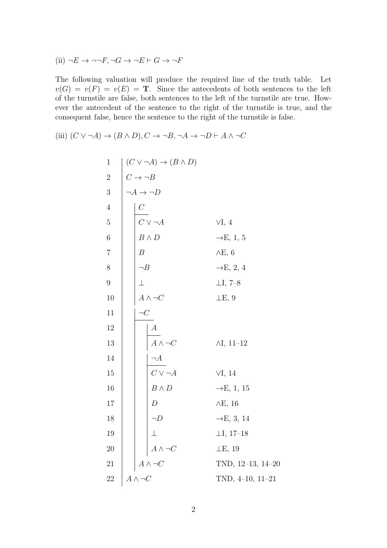(ii) 
$$
\neg E \rightarrow \neg \neg F, \neg G \rightarrow \neg E \vdash G \rightarrow \neg F
$$

The following valuation will produce the required line of the truth table. Let  $v(G) = v(F) = v(E) = T$ . Since the antecedents of both sentences to the left of the turnstile are false, both sentences to the left of the turnstile are true. However the antecedent of the sentence to the right of the turnstile is true, and the consequent false, hence the sentence to the right of the turnstile is false.

(iii) 
$$
(C \lor \neg A) \rightarrow (B \land D), C \rightarrow \neg B, \neg A \rightarrow \neg D \vdash A \land \neg C
$$

1  
\n1  
\n2  
\n
$$
C \rightarrow B
$$
  
\n3  
\n $\rightarrow A \rightarrow D$   
\n4  
\n6  
\n7  
\n8  
\n9  
\n11  
\n12  
\n13  
\n14  
\n15  
\n16  
\n17  
\n18  
\n19  
\n10  
\n11  
\n12  
\n13  
\n14  
\n15  
\n16  
\n17  
\n18  
\n19  
\n10  
\n11  
\n12  
\n13  
\n14  
\n15  
\n16  
\n17  
\n18  
\n19  
\n10  
\n10  
\n11  
\n12  
\n13  
\n14  
\n15  
\n16  
\n17  
\n18  
\n19  
\n10  
\n10  
\n11  
\n12  
\n13  
\n14  
\n15  
\n16  
\n17  
\n18  
\n19  
\n10  
\n10  
\n11  
\n12  
\n13  
\n14  
\n15  
\n16  
\n17  
\n18  
\n19  
\n10  
\n10  
\n11  
\n12  
\n13  
\n14  
\n15  
\n16  
\n17  
\n18  
\n19  
\n10  
\n10  
\n11  
\n12  
\n13  
\n14  
\n15  
\n16  
\n17  
\n18  
\n19  
\n10  
\n10  
\n11  
\n12  
\n13  
\n14  
\n15  
\n16  
\n17  
\n18  
\n19  
\n10  
\n10  
\n11  
\n12  
\n13  
\n14  
\n15  
\n16  
\n17  
\n18  
\n19  
\n10  
\n10  
\n11  
\n17  
\n18  
\n19  
\n10  
\n10  
\n11  
\n17  
\n18  
\n19  
\n10  
\n10  
\n11  
\n12  
\n13  
\n14  
\n15  
\n16  
\n17  
\n18  
\n19  
\n10  
\n10  
\n11  
\n12  
\n13  
\n14  
\n15  
\n16  
\n17  
\n18  
\n19  
\n10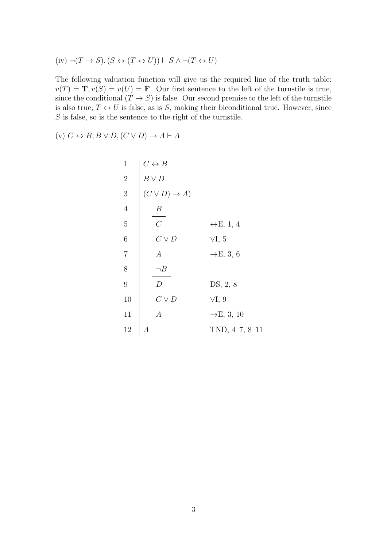(iv) 
$$
\neg (T \rightarrow S), (S \leftrightarrow (T \leftrightarrow U)) \vdash S \land \neg (T \leftrightarrow U)
$$

The following valuation function will give us the required line of the truth table:  $v(T) = \mathbf{T}, v(S) = v(U) = \mathbf{F}$ . Our first sentence to the left of the turnstile is true, since the conditional  $(T \to S)$  is false. Our second premise to the left of the turnstile is also true;  $T \leftrightarrow U$  is false, as is S, making their biconditional true. However, since  $S$  is false, so is the sentence to the right of the turnstile.

(v)  $C \leftrightarrow B, B \lor D, (C \lor D) \to A \vdash A$ 

 C ↔ B B ∨ D (C ∨ D) → A) B C ↔E, 1, 4 C ∨ D ∨I, 5 A →E, 3, 6 ¬B D DS, 2, 8 C ∨ D ∨I, 9 A →E, 3, 10 A TND, 4–7, 8–11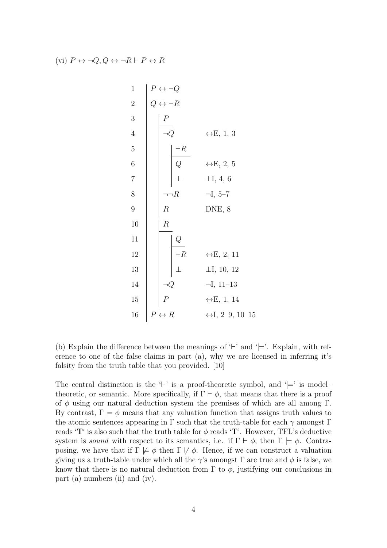(vi)  $P \leftrightarrow \neg Q, Q \leftrightarrow \neg R \vdash P \leftrightarrow R$ 

1  
\n2  
\n2  
\n4  
\n5  
\n6  
\n7  
\n9  
\n10  
\n
$$
R
$$
  
\n11  
\n12  
\n13  
\n14  
\n15  
\n16  
\n $P$   
\n- $R$   
\n- $R$   
\n- $R$   
\n- $R$   
\n- $R$   
\n- $R$   
\n- $R$   
\n- $R$   
\n- $R$   
\n- $R$   
\n- $I, 5-7$   
\n- $I, 5-7$   
\n10  
\nQ  
\n- $R$   
\n- $I, 5-7$   
\nDNE, 8  
\n10  
\nQ  
\n- $R$   
\n- $I, 10, 12$   
\n11  
\n12  
\nQ  
\n- $I, 10, 12$   
\nQ  
\n- $I, 11-13$   
\n15  
\n $P \leftrightarrow R$   
\n+ $I, 2-9, 10-15$ 

(b) Explain the difference between the meanings of  $\vdash$  and  $\vdash$ . Explain, with reference to one of the false claims in part (a), why we are licensed in inferring it's falsity from the truth table that you provided. [10]

The central distinction is the  $\ddot{\vdash}$  is a proof-theoretic symbol, and  $\ddot{\vdash}$  is model– theoretic, or semantic. More specifically, if  $\Gamma \vdash \phi$ , that means that there is a proof of  $\phi$  using our natural deduction system the premises of which are all among Γ. By contrast,  $\Gamma \models \phi$  means that any valuation function that assigns truth values to the atomic sentences appearing in  $\Gamma$  such that the truth-table for each  $\gamma$  amongst  $\Gamma$ reads 'T' is also such that the truth table for  $\phi$  reads 'T'. However, TFL's deductive system is sound with respect to its semantics, i.e. if  $\Gamma \vdash \phi$ , then  $\Gamma \models \phi$ . Contraposing, we have that if  $\Gamma \not\models \phi$  then  $\Gamma \not\models \phi$ . Hence, if we can construct a valuation giving us a truth-table under which all the  $\gamma$ 's amongst  $\Gamma$  are true and  $\phi$  is false, we know that there is no natural deduction from  $\Gamma$  to  $\phi$ , justifying our conclusions in part (a) numbers (ii) and (iv).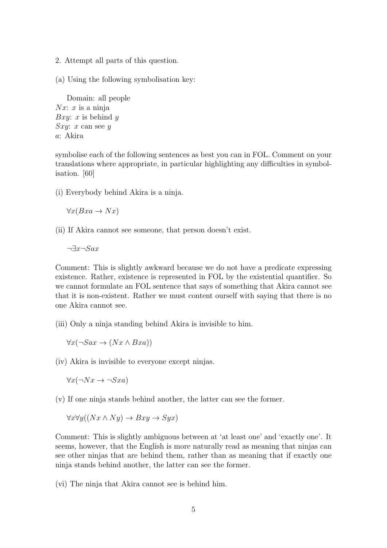- 2. Attempt all parts of this question.
- (a) Using the following symbolisation key:

Domain: all people  $Nx: x$  is a ninja Bxy: x is behind  $y$  $Sxy: x$  can see y a: Akira

symbolise each of the following sentences as best you can in FOL. Comment on your translations where appropriate, in particular highlighting any difficulties in symbolisation. [60]

(i) Everybody behind Akira is a ninja.

$$
\forall x (Bxa \to Nx)
$$

(ii) If Akira cannot see someone, that person doesn't exist.

 $\neg \exists x \neg S a x$ 

Comment: This is slightly awkward because we do not have a predicate expressing existence. Rather, existence is represented in FOL by the existential quantifier. So we cannot formulate an FOL sentence that says of something that Akira cannot see that it is non-existent. Rather we must content ourself with saying that there is no one Akira cannot see.

(iii) Only a ninja standing behind Akira is invisible to him.

$$
\forall x (\neg Sax \rightarrow (Nx \land Bxa))
$$

(iv) Akira is invisible to everyone except ninjas.

 $\forall x(\neg Nx \rightarrow \neg Sxa)$ 

(v) If one ninja stands behind another, the latter can see the former.

$$
\forall x \forall y ((Nx \land Ny) \to Bxy \to Syx)
$$

Comment: This is slightly ambiguous between at 'at least one' and 'exactly one'. It seems, however, that the English is more naturally read as meaning that ninjas can see other ninjas that are behind them, rather than as meaning that if exactly one ninja stands behind another, the latter can see the former.

(vi) The ninja that Akira cannot see is behind him.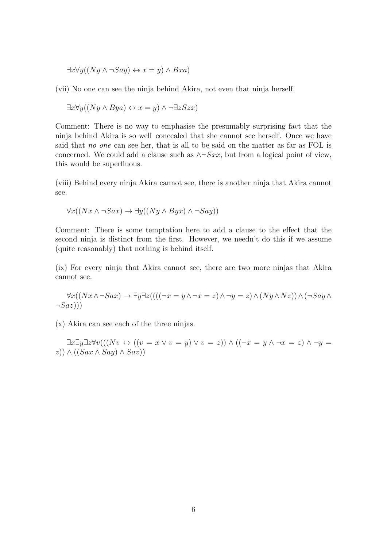$\exists x \forall y ((Ny \land \neg Say) \leftrightarrow x = y) \land Bxa)$ 

(vii) No one can see the ninja behind Akira, not even that ninja herself.

$$
\exists x \forall y ((Ny \land Bya) \leftrightarrow x = y) \land \neg \exists z Szx)
$$

Comment: There is no way to emphasise the presumably surprising fact that the ninja behind Akira is so well–concealed that she cannot see herself. Once we have said that no one can see her, that is all to be said on the matter as far as FOL is concerned. We could add a clause such as  $\land \neg Sxx$ , but from a logical point of view, this would be superfluous.

(viii) Behind every ninja Akira cannot see, there is another ninja that Akira cannot see.

$$
\forall x((Nx \land \neg Sax) \to \exists y((Ny \land Byx) \land \neg Say))
$$

Comment: There is some temptation here to add a clause to the effect that the second ninja is distinct from the first. However, we needn't do this if we assume (quite reasonably) that nothing is behind itself.

(ix) For every ninja that Akira cannot see, there are two more ninjas that Akira cannot see.

$$
\forall x((Nx \land \neg Sax) \to \exists y \exists z (((\neg x = y \land \neg x = z) \land \neg y = z) \land (Ny \land Nz)) \land (\neg Say \land \neg Say \land \neg Say))
$$

(x) Akira can see each of the three ninjas.

 $\exists x \exists y \exists z \forall v (((Nv \leftrightarrow ((v = x \vee v = y) \vee v = z)) \wedge ((\neg x = y \wedge \neg x = z) \wedge \neg y = z))$  $(z)$ )  $\wedge ((Sax \wedge Say) \wedge Sax)$ )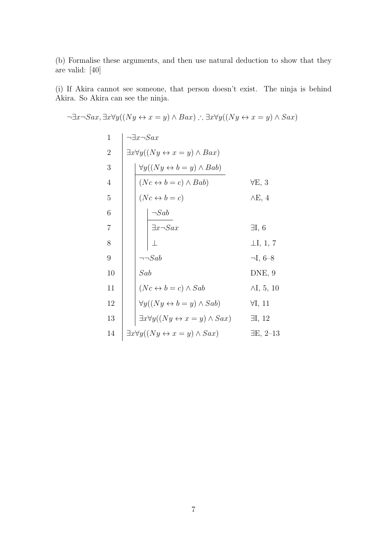(b) Formalise these arguments, and then use natural deduction to show that they are valid: [40]

(i) If Akira cannot see someone, that person doesn't exist. The ninja is behind Akira. So Akira can see the ninja.

$$
\exists x \neg Sax, \exists x \forall y ((Ny \leftrightarrow x = y) \land Bax) : \exists x \forall y ((Ny \leftrightarrow x = y) \land Sax)
$$
\n
$$
\begin{array}{c}\n1 \\
2 \\
\exists x \forall y ((Ny \leftrightarrow x = y) \land Bax) \\
4 \\
\hline\n\left(\begin{array}{c}\n\sqrt{y} \lor \sqrt{y} \lor \sqrt{y} \lor \sqrt{y} \lor \sqrt{y} \lor \sqrt{y} \lor \sqrt{y} \lor \sqrt{y} \lor \sqrt{y} \lor \sqrt{y} \lor \sqrt{y} \lor \sqrt{y} \lor \sqrt{y} \lor \sqrt{y} \lor \sqrt{y} \lor \sqrt{y} \lor \sqrt{y} \lor \sqrt{y} \lor \sqrt{y} \lor \sqrt{y} \lor \sqrt{y} \lor \sqrt{y} \lor \sqrt{y} \lor \sqrt{y} \lor \sqrt{y} \lor \sqrt{y} \lor \sqrt{y} \lor \sqrt{y} \lor \sqrt{y} \lor \sqrt{y} \lor \sqrt{y} \lor \sqrt{y} \lor \sqrt{y} \lor \sqrt{y} \lor \sqrt{y} \lor \sqrt{y} \lor \sqrt{y} \lor \sqrt{y} \lor \sqrt{y} \lor \sqrt{y} \lor \sqrt{y} \lor \sqrt{y} \lor \sqrt{y} \lor \sqrt{y} \lor \sqrt{y} \lor \sqrt{y} \lor \sqrt{y} \lor \sqrt{y} \lor \sqrt{y} \lor \sqrt{y} \lor \sqrt{y} \lor \sqrt{y} \lor \sqrt{y} \lor \sqrt{y} \lor \sqrt{y} \lor \sqrt{y} \lor \sqrt{y} \lor \sqrt{y} \lor \sqrt{y} \lor \sqrt{y} \lor \sqrt{y} \lor \sqrt{y} \lor \sqrt{y} \lor \sqrt{y} \lor \sqrt{y} \lor \sqrt{y} \lor \sqrt{y} \lor \sqrt{y} \lor \sqrt{y} \lor \sqrt{y} \lor \sqrt{y} \lor \sqrt{y} \lor \sqrt{y} \lor \sqrt{y} \lor \sqrt{y} \lor \sqrt{y} \lor \sqrt{y} \lor \sqrt{y} \lor \sqrt{y} \lor \sqrt{y} \lor \sqrt{y} \lor \sqrt{y} \lor \sqrt{y} \lor \sqrt{y} \lor \sqrt{y} \lor \sqrt{y} \lor \sqrt{y} \lor \sqrt{y} \lor \sqrt{y} \lor \sqrt{y} \lor \sqrt{y} \lor \sqrt{y} \lor \sqrt{y} \lor \sqrt{y} \
$$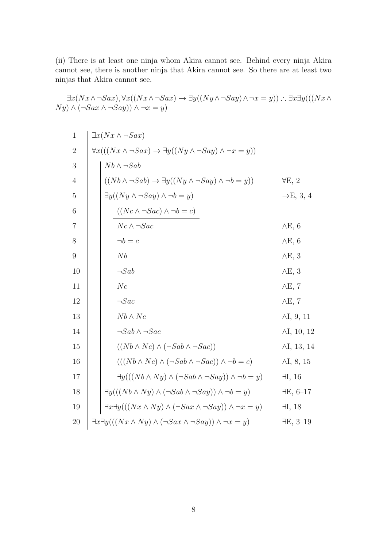(ii) There is at least one ninja whom Akira cannot see. Behind every ninja Akira cannot see, there is another ninja that Akira cannot see. So there are at least two ninjas that Akira cannot see.

$$
\exists x (Nx \wedge \neg Sax), \forall x ((Nx \wedge \neg Sax) \rightarrow \exists y ((Ny \wedge \neg Say) \wedge \neg x = y)) : \exists x \exists y (((Nx \wedge Ny) \wedge (\neg Sax \wedge \neg Say)) \wedge \neg x = y)
$$

| $\mathbf{1}$     | $\exists x (Nx \wedge \neg Sax)$                                                                          |  |                                                                                              |                       |  |  |
|------------------|-----------------------------------------------------------------------------------------------------------|--|----------------------------------------------------------------------------------------------|-----------------------|--|--|
| $\overline{2}$   | $\forall x (((Nx \wedge \neg Sax) \rightarrow \exists y ((Ny \wedge \neg Say) \wedge \neg x = y))$        |  |                                                                                              |                       |  |  |
| 3                | $Nb \wedge \neg Sab$                                                                                      |  |                                                                                              |                       |  |  |
| $\overline{4}$   | $((Nb \wedge \neg Sab) \rightarrow \exists y ((Ny \wedge \neg Say) \wedge \neg b = y))$<br>$\forall E, 2$ |  |                                                                                              |                       |  |  |
| 5                | $\exists y((Ny \land \neg Say) \land \neg b = y)$                                                         |  |                                                                                              | $\rightarrow$ E, 3, 4 |  |  |
| 6                |                                                                                                           |  | $((Nc \land \neg Sac) \land \neg b = c)$                                                     |                       |  |  |
| $\overline{7}$   |                                                                                                           |  | $Nc \wedge \neg Sac$                                                                         | $\wedge$ E, 6         |  |  |
| 8                |                                                                                                           |  | $\neg b = c$                                                                                 | $\wedge$ E, 6         |  |  |
| $\boldsymbol{9}$ |                                                                                                           |  | Nb                                                                                           | $\wedge$ E, 3         |  |  |
| 10               |                                                                                                           |  | $\neg Sab$                                                                                   | $\wedge$ E, 3         |  |  |
| 11               |                                                                                                           |  | $N_c$                                                                                        | $\wedge$ E, 7         |  |  |
| 12               |                                                                                                           |  | $\neg Sac$                                                                                   | $\wedge$ E, 7         |  |  |
| 13               |                                                                                                           |  | $Nb \wedge Nc$                                                                               | $\wedge I$ , 9, 11    |  |  |
| 14               |                                                                                                           |  | $\neg Sab \wedge \neg Sac$                                                                   | $\wedge I$ , 10, 12   |  |  |
| 15               |                                                                                                           |  | $((Nb \wedge Nc) \wedge (\neg Sab \wedge \neg Sac))$                                         | $\wedge I$ , 13, 14   |  |  |
| 16               |                                                                                                           |  | $(((Nb \wedge Nc) \wedge (\neg Sab \wedge \neg Sac)) \wedge \neg b = c)$                     | $\wedge I, 8, 15$     |  |  |
| 17               |                                                                                                           |  | $\exists y (((Nb \wedge Ny) \wedge (\neg Sab \wedge \neg Say)) \wedge \neg b = y)$           | $\exists I, 16$       |  |  |
| 18               |                                                                                                           |  | $\exists y (((Nb \wedge Ny) \wedge (\neg Sab \wedge \neg Say)) \wedge \neg b = y)$           | $\exists E, 6-17$     |  |  |
| 19               |                                                                                                           |  | $\exists x \exists y (((Nx \wedge Ny) \wedge (\neg Sax \wedge \neg Say)) \wedge \neg x = y)$ | $\exists I, 18$       |  |  |
| 20               |                                                                                                           |  | $\exists x \exists y (((Nx \wedge Ny) \wedge (\neg Sax \wedge \neg Say)) \wedge \neg x = y)$ | $\exists E, 3-19$     |  |  |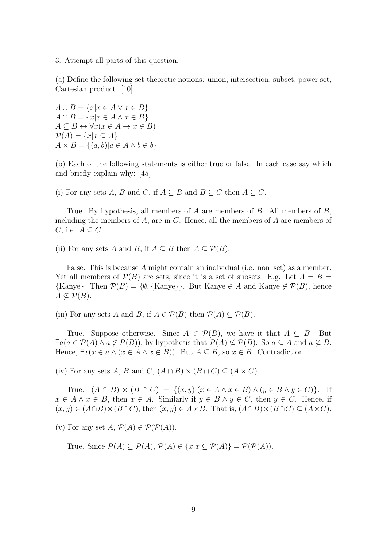3. Attempt all parts of this question.

(a) Define the following set-theoretic notions: union, intersection, subset, power set, Cartesian product. [10]

 $A \cup B = \{x | x \in A \lor x \in B\}$  $A \cap B = \{x | x \in A \land x \in B\}$  $A \subseteq B \leftrightarrow \forall x (x \in A \rightarrow x \in B)$  $\mathcal{P}(A) = \{x | x \subseteq A\}$  $A \times B = \{(a, b) | a \in A \land b \in b\}$ 

(b) Each of the following statements is either true or false. In each case say which and briefly explain why: [45]

(i) For any sets A, B and C, if  $A \subseteq B$  and  $B \subseteq C$  then  $A \subseteq C$ .

True. By hypothesis, all members of A are members of B. All members of B, including the members of  $A$ , are in  $C$ . Hence, all the members of  $A$  are members of  $C$ , i.e.  $A \subseteq C$ .

(ii) For any sets A and B, if  $A \subseteq B$  then  $A \subseteq \mathcal{P}(B)$ .

False. This is because A might contain an individual (i.e. non–set) as a member. Yet all members of  $\mathcal{P}(B)$  are sets, since it is a set of subsets. E.g. Let  $A = B =$  $\{ \text{Kanye} \}.$  Then  $\mathcal{P}(B) = \{ \emptyset, \{ \text{Kanye} \} \}.$  But Kanye  $\in A$  and Kanye  $\not\in \mathcal{P}(B)$ , hence  $A \not\subset \mathcal{P}(B)$ .

(iii) For any sets A and B, if  $A \in \mathcal{P}(B)$  then  $\mathcal{P}(A) \subseteq \mathcal{P}(B)$ .

True. Suppose otherwise. Since  $A \in \mathcal{P}(B)$ , we have it that  $A \subseteq B$ . But  $\exists a (a \in \mathcal{P}(A) \land a \notin \mathcal{P}(B))$ , by hypothesis that  $\mathcal{P}(A) \not\subseteq \mathcal{P}(B)$ . So  $a \subseteq A$  and  $a \not\subseteq B$ . Hence,  $\exists x(x \in a \land (x \in A \land x \notin B))$ . But  $A \subseteq B$ , so  $x \in B$ . Contradiction.

(iv) For any sets A, B and C,  $(A \cap B) \times (B \cap C) \subseteq (A \times C)$ .

True.  $(A \cap B) \times (B \cap C) = \{(x, y) | (x \in A \land x \in B) \land (y \in B \land y \in C) \}.$  If  $x \in A \land x \in B$ , then  $x \in A$ . Similarly if  $y \in B \land y \in C$ , then  $y \in C$ . Hence, if  $(x, y) \in (A \cap B) \times (B \cap C)$ , then  $(x, y) \in A \times B$ . That is,  $(A \cap B) \times (B \cap C) \subseteq (A \times C)$ .

(v) For any set  $A, \mathcal{P}(A) \in \mathcal{P}(\mathcal{P}(A)).$ 

True. Since  $\mathcal{P}(A) \subset \mathcal{P}(A)$ ,  $\mathcal{P}(A) \in \{x | x \subset \mathcal{P}(A)\} = \mathcal{P}(\mathcal{P}(A))$ .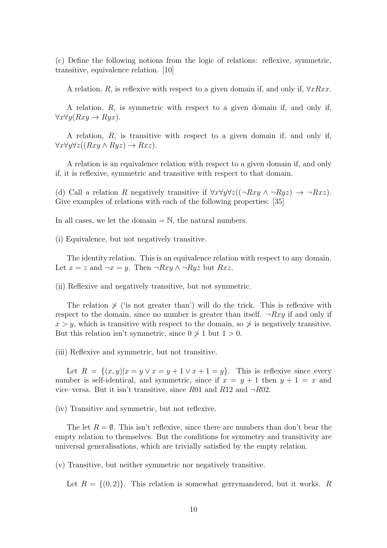(c) Define the following notions from the logic of relations: reflexive, symmetric, transitive, equivalence relation. [10]

A relation, R, is reflexive with respect to a given domain if, and only if,  $\forall xRxx$ .

A relation, R, is symmetric with respect to a given domain if, and only if,  $\forall x \forall y (Rxy \rightarrow Ryx).$ 

A relation, R, is transitive with respect to a given domain if, and only if,  $\forall x \forall y \forall z ((Rxy \land Ryz) \rightarrow Rxz).$ 

A relation is an equivalence relation with respect to a given domain if, and only if, it is reflexive, symmetric and transitive with respect to that domain.

(d) Call a relation R negatively transitive if  $\forall x \forall y \forall z ((\neg Rxy \land \neg Ryz) \rightarrow \neg Rxz)$ . Give examples of relations with each of the following properties: [35]

In all cases, we let the domain  $=\mathbb{N}$ , the natural numbers.

(i) Equivalence, but not negatively transitive.

The identity relation. This is an equivalence relation with respect to any domain. Let  $x = z$  and  $\neg x = y$ . Then  $\neg Rxy \wedge \neg Ryz$  but  $Rxz$ .

(ii) Reflexive and negatively transitive, but not symmetric.

The relation  $\frac{\cancel{x}}{\cancel{x}}$  ('is not greater than') will do the trick. This is reflexive with respect to the domain, since no number is greater than itself.  $\neg Rxy$  if and only if  $x > y$ , which is transitive with respect to the domain, so  $\frac{1}{2}$  is negatively transitive. But this relation isn't symmetric, since  $0 \nless 1$  but  $1 > 0$ .

(iii) Reflexive and symmetric, but not transitive.

Let  $R = \{(x, y)|x = y \vee x = y + 1 \vee x + 1 = y\}$ . This is reflexive since every number is self-identical, and symmetric, since if  $x = y + 1$  then  $y + 1 = x$  and vice–versa. But it isn't transitive, since R01 and R12 and  $\neg R02$ .

(iv) Transitive and symmetric, but not reflexive.

The let  $R = \emptyset$ . This isn't reflexive, since there are numbers than don't bear the empty relation to themselves. But the conditions for symmetry and transitivity are universal generalisations, which are trivially satisfied by the empty relation.

(v) Transitive, but neither symmetric nor negatively transitive.

Let  $R = \{(0, 2)\}\.$  This relation is somewhat gerrymandered, but it works. R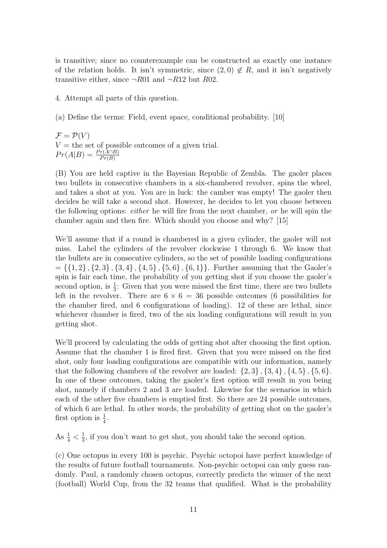is transitive; since no counterexample can be constructed as exactly one instance of the relation holds. It isn't symmetric, since  $(2,0) \notin R$ , and it isn't negatively transitive either, since  $\neg R01$  and  $\neg R12$  but  $R02$ .

4. Attempt all parts of this question.

(a) Define the terms: Field, event space, conditional probability. [10]

 $\mathcal{F} = \mathcal{P}(V)$  $V =$  the set of possible outcomes of a given trial.  $Pr(A|B) = \frac{Pr(A \cap B)}{Pr(B)}$ 

(B) You are held captive in the Bayesian Republic of Zembla. The gaoler places two bullets in consecutive chambers in a six-chambered revolver, spins the wheel, and takes a shot at you. You are in luck: the camber was empty! The gaoler then decides he will take a second shot. However, he decides to let you choose between the following options: either he will fire from the next chamber, or he will spin the chamber again and then fire. Which should you choose and why? [15]

We'll assume that if a round is chambered in a given cylinder, the gaoler will not miss. Label the cylinders of the revolver clockwise 1 through 6. We know that the bullets are in consecutive cylinders, so the set of possible loading configurations  $= \{ \{1, 2\}, \{2, 3\}, \{3, 4\}, \{4, 5\}, \{5, 6\}, \{6, 1\} \}.$  Further assuming that the Gaoler's spin is fair each time, the probability of you getting shot if you choose the gaoler's second option, is  $\frac{1}{3}$ : Given that you were missed the first time, there are two bullets left in the revolver. There are  $6 \times 6 = 36$  possible outcomes (6 possibilities for the chamber fired, and 6 configurations of loading). 12 of these are lethal, since whichever chamber is fired, two of the six loading configurations will result in you getting shot.

We'll proceed by calculating the odds of getting shot after choosing the first option. Assume that the chamber 1 is fired first. Given that you were missed on the first shot, only four loading configurations are compatible with our information, namely that the following chambers of the revolver are loaded:  $\{2,3\}$ ,  $\{3,4\}$ ,  $\{4,5\}$ ,  $\{5,6\}$ . In one of these outcomes, taking the gaoler's first option will result in you being shot, namely if chambers 2 and 3 are loaded. Likewise for the scenarios in which each of the other five chambers is emptied first. So there are 24 possible outcomes, of which 6 are lethal. In other words, the probability of getting shot on the gaoler's first option is  $\frac{1}{4}$ .

As  $\frac{1}{4} < \frac{1}{3}$  $\frac{1}{3}$ , if you don't want to get shot, you should take the second option.

(c) One octopus in every 100 is psychic. Psychic octopoi have perfect knowledge of the results of future football tournaments. Non-psychic octopoi can only guess randomly. Paul, a randomly chosen octopus, correctly predicts the winner of the next (football) World Cup, from the 32 teams that qualified. What is the probability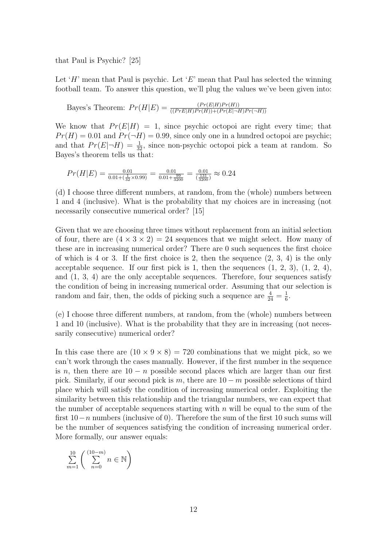that Paul is Psychic? [25]

Let 'H' mean that Paul is psychic. Let 'E' mean that Paul has selected the winning football team. To answer this question, we'll plug the values we've been given into:

Bayes's Theorem:  $Pr(H|E) = \frac{(Pr(E|H)Pr(H))}{((Pr E|H)Pr(H)) + (Pr(E|\neg H)Pr(\neg H))}$ 

We know that  $Pr(E|H) = 1$ , since psychic octopoi are right every time; that  $Pr(H) = 0.01$  and  $Pr(\neg H) = 0.99$ , since only one in a hundred octopoi are psychic; and that  $Pr(E|\neg H) = \frac{1}{32}$ , since non-psychic octopoi pick a team at random. So Bayes's theorem tells us that:

$$
Pr(H|E) = \frac{0.01}{0.01 + (\frac{1}{32} \times 0.99)} = \frac{0.01}{0.01 + \frac{99}{3200}} = \frac{0.01}{(\frac{131}{3200})} \approx 0.24
$$

(d) I choose three different numbers, at random, from the (whole) numbers between 1 and 4 (inclusive). What is the probability that my choices are in increasing (not necessarily consecutive numerical order? [15]

Given that we are choosing three times without replacement from an initial selection of four, there are  $(4 \times 3 \times 2) = 24$  sequences that we might select. How many of these are in increasing numerical order? There are 0 such sequences the first choice of which is 4 or 3. If the first choice is 2, then the sequence  $(2, 3, 4)$  is the only acceptable sequence. If our first pick is 1, then the sequences  $(1, 2, 3)$ ,  $(1, 2, 4)$ , and (1, 3, 4) are the only acceptable sequences. Therefore, four sequences satisfy the condition of being in increasing numerical order. Assuming that our selection is random and fair, then, the odds of picking such a sequence are  $\frac{4}{24} = \frac{1}{6}$  $\frac{1}{6}$ .

(e) I choose three different numbers, at random, from the (whole) numbers between 1 and 10 (inclusive). What is the probability that they are in increasing (not necessarily consecutive) numerical order?

In this case there are  $(10 \times 9 \times 8) = 720$  combinations that we might pick, so we can't work through the cases manually. However, if the first number in the sequence is n, then there are  $10 - n$  possible second places which are larger than our first pick. Similarly, if our second pick is m, there are  $10 - m$  possible selections of third place which will satisfy the condition of increasing numerical order. Exploiting the similarity between this relationship and the triangular numbers, we can expect that the number of acceptable sequences starting with  $n$  will be equal to the sum of the first  $10-n$  numbers (inclusive of 0). Therefore the sum of the first 10 such sums will be the number of sequences satisfying the condition of increasing numerical order. More formally, our answer equals:

$$
\sum_{m=1}^{10} \left( \sum_{n=0}^{(10-m)} n \in \mathbb{N} \right)
$$